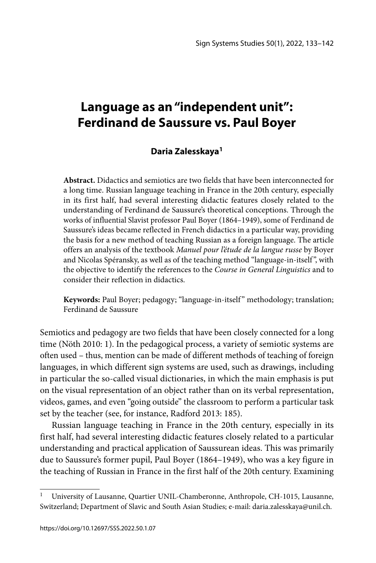# **Language as an "independent unit": Ferdinand de Saussure vs. Paul Boyer**

## **Daria Zalesskaya1**

**Abstract.** Didactics and semiotics are two fields that have been interconnected for a long time. Russian language teaching in France in the 20th century, especially in its first half, had several interesting didactic features closely related to the understanding of Ferdinand de Saussure's theoretical conceptions. Through the works of influential Slavist professor Paul Boyer (1864–1949), some of Ferdinand de Saussure's ideas became reflected in French didactics in a particular way, providing the basis for a new method of teaching Russian as a foreign language. The article offers an analysis of the textbook *Manuel pour l'étude de la langue russe* by Boyer and Nicolas Spéransky, as well as of the teaching method "language-in-itself ", with the objective to identify the references to the *Course in General Linguistics* and to consider their reflection in didactics.

**Keywords:** Paul Boyer; pedagogy; "language-in-itself " methodology; translation; Ferdinand de Saussure

Semiotics and pedagogy are two fields that have been closely connected for a long time (Nöth 2010: 1). In the pedagogical process, a variety of semiotic systems are often used – thus, mention can be made of different methods of teaching of foreign languages, in which different sign systems are used, such as drawings, including in particular the so-called visual dictionaries, in which the main emphasis is put on the visual representation of an object rather than on its verbal representation, videos, games, and even "going outside" the classroom to perform a particular task set by the teacher (see, for instance, Radford 2013: 185).

Russian language teaching in France in the 20th century, especially in its first half, had several interesting didactic features closely related to a particular understanding and practical application of Saussurean ideas. This was primarily due to Saussure's former pupil, Paul Boyer (1864–1949), who was a key figure in the teaching of Russian in France in the first half of the 20th century. Examining

<sup>1</sup> University of Lausanne, Quartier UNIL-Chamberonne, Anthropole, CH-1015, Lausanne, Switzerland; Department of Slavic and South Asian Studies; e-mail: daria.zalesskaya@unil.ch.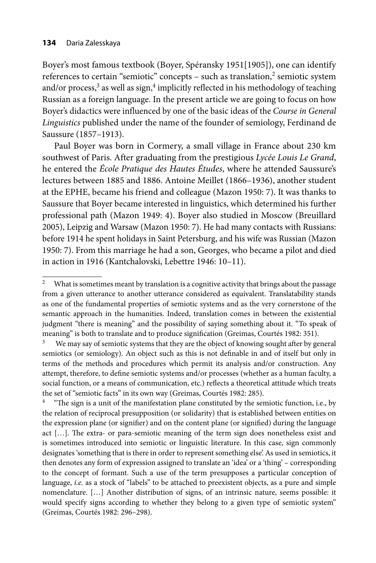Boyer's most famous textbook (Boyer, Spéransky 1951[1905]), one can identify references to certain "semiotic" concepts - such as translation,<sup>2</sup> semiotic system and/or process, $3$  as well as sign, $4$  implicitly reflected in his methodology of teaching Russian as a foreign language. In the present article we are going to focus on how Boyer's didactics were influenced by one of the basic ideas of the *Course in General Linguistics* published under the name of the founder of semiology, Ferdinand de Saussure (1857–1913).

Paul Boyer was born in Cormery, a small village in France about 230 km southwest of Paris. After graduating from the prestigious *Lycée Louis Le Grand*, he entered the *École Pratique des Hautes Études*, where he attended Saussure's lectures between 1885 and 1886. Antoine Meillet (1866–1936), another student at the EPHE, became his friend and colleague (Mazon 1950: 7). It was thanks to Saussure that Boyer became interested in linguistics, which determined his further professional path (Mazon 1949: 4). Boyer also studied in Moscow (Breuillard 2005), Leipzig and Warsaw (Mazon 1950: 7). He had many contacts with Russians: before 1914 he spent holidays in Saint Petersburg, and his wife was Russian (Mazon 1950: 7). From this marriage he had a son, Georges, who became a pilot and died in action in 1916 (Kantchalovski, Lebettre 1946: 10–11).

<sup>&</sup>lt;sup>2</sup> What is sometimes meant by translation is a cognitive activity that brings about the passage from a given utterance to another utterance considered as equivalent. Translatability stands as one of the fundamental properties of semiotic systems and as the very cornerstone of the semantic approach in the humanities. Indeed, translation comes in between the existential judgment "there is meaning" and the possibility of saying something about it. "To speak of meaning" is both to translate and to produce signification (Greimas, Courtés 1982: 351).<br><sup>3</sup> We may say of semiotic systems that they are the object of knowing sought after by general

semiotics (or semiology). An object such as this is not definable in and of itself but only in terms of the methods and procedures which permit its analysis and/or construction. Any attempt, therefore, to define semiotic systems and/or processes (whether as a human faculty, a social function, or a means of communication, etc.) reflects a theoretical attitude which treats the set of "semiotic facts" in its own way (Greimas, Courtés 1982: 285).<br><sup>4</sup> "The sign is a unit of the manifestation plane constituted by the semiotic function, i.e., by

the relation of reciprocal presupposition (or solidarity) that is established between entities on the expression plane (or signifier) and on the content plane (or signified) during the language act  $[...]$ . The extra- or para-semiotic meaning of the term sign does nonetheless exist and is sometimes introduced into semiotic or linguistic literature. In this case, sign commonly designates 'something that is there in order to represent something else'. As used in semiotics, it then denotes any form of expression assigned to translate an 'idea' or a 'thing' – corresponding to the concept of formant. Such a use of the term presupposes a particular conception of language, *i.e.* as a stock of "labels" to be attached to preexistent objects, as a pure and simple nomenclature. […] Another distribution of signs, of an intrinsic nature, seems possible: it would specify signs according to whether they belong to a given type of semiotic system" (Greimas, Courtés 1982: 296–298).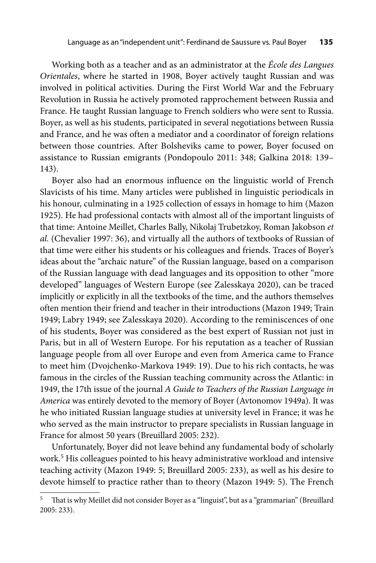Working both as a teacher and as an administrator at the *École des Langues Orientales*, where he started in 1908, Boyer actively taught Russian and was involved in political activities. During the First World War and the February Revolution in Russia he actively promoted rapprochement between Russia and France. He taught Russian language to French soldiers who were sent to Russia. Boyer, as well as his students, participated in several negotiations between Russia and France, and he was often a mediator and a coordinator of foreign relations between those countries. After Bolsheviks came to power, Boyer focused on assistance to Russian emigrants (Pondopoulo 2011: 348; Galkina 2018: 139– 143).

Boyer also had an enormous influence on the linguistic world of French Slavicists of his time. Many articles were published in linguistic periodicals in his honour, culminating in a 1925 collection of essays in homage to him (Mazon 1925). He had professional contacts with almost all of the important linguists of that time: Antoine Meillet, Charles Bally, Nikolaj Trubetzkoy, Roman Jakobson *et al.* (Chevalier 1997: 36), and virtually all the authors of textbooks of Russian of that time were either his students or his colleagues and friends. Traces of Boyer's ideas about the "archaic nature" of the Russian language, based on a comparison of the Russian language with dead languages and its opposition to other "more developed" languages of Western Europe (see Zalesskaya 2020), can be traced implicitly or explicitly in all the textbooks of the time, and the authors themselves often mention their friend and teacher in their introductions (Mazon 1949; Train 1949; Labry 1949; see Zalesskaya 2020). According to the reminiscences of one of his students, Boyer was considered as the best expert of Russian not just in Paris, but in all of Western Europe. For his reputation as a teacher of Russian language people from all over Europe and even from America came to France to meet him (Dvojchenko-Markova 1949: 19). Due to his rich contacts, he was famous in the circles of the Russian teaching community across the Atlantic: in 1949, the 17th issue of the journal *A Guide to Teachers of the Russian Language in America* was entirely devoted to the memory of Boyer (Avtonomov 1949a). It was he who initiated Russian language studies at university level in France; it was he who served as the main instructor to prepare specialists in Russian language in France for almost 50 years (Breuillard 2005: 232).

Unfortunately, Boyer did not leave behind any fundamental body of scholarly work.<sup>5</sup> His colleagues pointed to his heavy administrative workload and intensive teaching activity (Mazon 1949: 5; Breuillard 2005: 233), as well as his desire to devote himself to practice rather than to theory (Mazon 1949: 5). The French

That is why Meillet did not consider Boyer as a "linguist", but as a "grammarian" (Breuillard 2005: 233).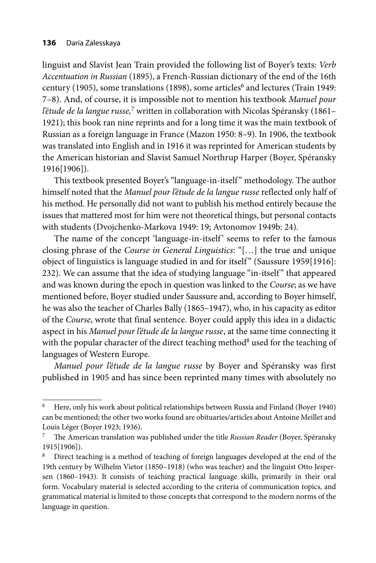linguist and Slavist Jean Train provided the following list of Boyer's texts: *Verb Accentuation in Russian* (1895), a French-Russian dictionary of the end of the 16th century (1905), some translations (1898), some articles<sup>6</sup> and lectures (Train 1949: 7–8). And, of course, it is impossible not to mention his textbook *Manuel pour l'étude de la langue russe,*7 written in collaboration with Nicolas Spéransky (1861– 1921); this book ran nine reprints and for a long time it was the main textbook of Russian as a foreign language in France (Mazon 1950: 8–9). In 1906, the textbook was translated into English and in 1916 it was reprinted for American students by the American historian and Slavist Samuel Northrup Harper (Boyer, Spéransky 1916[1906]).

This textbook presented Boyer's "language-in-itself " methodology. The author himself noted that the *Manuel pour l'étude de la langue russe* reflected only half of his method. He personally did not want to publish his method entirely because the issues that mattered most for him were not theoretical things, but personal contacts with students (Dvojchenko-Markova 1949: 19; Avtonomov 1949b: 24).

The name of the concept 'language-in-itself' seems to refer to the famous closing phrase of the *Course in General Linguistics*: "[…] the true and unique object of linguistics is language studied in and for itself" (Saussure 1959[1916]: 232). We can assume that the idea of studying language "in-itself " that appeared and was known during the epoch in question was linked to the *Course*; as we have mentioned before, Boyer studied under Saussure and, according to Boyer himself, he was also the teacher of Charles Bally (1865–1947), who, in his capacity as editor of the *Course*, wrote that final sentence. Boyer could apply this idea in a didactic aspect in his *Manuel pour l'étude de la langue russe*, at the same time connecting it with the popular character of the direct teaching method<sup>8</sup> used for the teaching of languages of Western Europe.

*Manuel pour l'étude de la langue russe* by Boyer and Spéransky was first published in 1905 and has since been reprinted many times with absolutely no

<sup>6</sup> Here, only his work about political relationships between Russia and Finland (Boyer 1940) can be mentioned; the other two works found are obituaries/articles about Antoine Meillet and Louis Léger (Boyer 1923; 1936).

<sup>&</sup>lt;sup>7</sup> The American translation was published under the title *Russian Reader* (Boyer, Spéransky 1915[1906]).

<sup>8</sup> Direct teaching is a method of teaching of foreign languages developed at the end of the 19th century by Wilhelm Vietor (1850–1918) (who was teacher) and the linguist Otto Jespersen (1860–1943). It consists of teaching practical language skills, primarily in their oral form. Vocabulary material is selected according to the criteria of communication topics, and grammatical material is limited to those concepts that correspond to the modern norms of the language in question.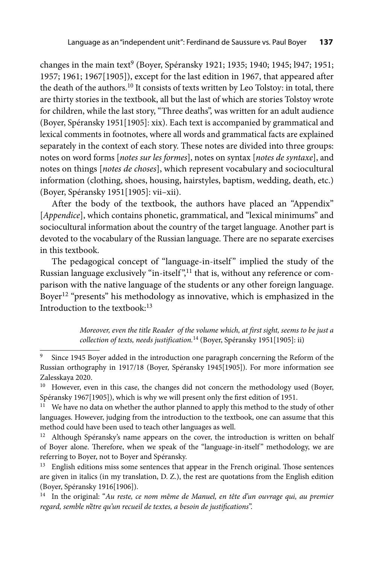changes in the main text<sup>9</sup> (Boyer, Spéransky 1921; 1935; 1940; 1945; 1947; 1951; 1957; 1961; 1967[1905]), except for the last edition in 1967, that appeared after the death of the authors.10 It consists of texts written by Leo Tolstoy: in total, there are thirty stories in the textbook, all but the last of which are stories Tolstoy wrote for children, while the last story, "Three deaths", was written for an adult audience (Boyer, Spéransky 1951[1905]: xix). Each text is accompanied by grammatical and lexical comments in footnotes, where all words and grammatical facts are explained separately in the context of each story. These notes are divided into three groups: notes on word forms [*notes sur les formes*], notes on syntax [*notes de syntaxe*], and notes on things [*notes de choses*], which represent vocabulary and sociocultural information (clothing, shoes, housing, hairstyles, baptism, wedding, death, etc.) (Boyer, Spéransky 1951[1905]: vii–xii).

After the body of the textbook, the authors have placed an "Appendix" [Appendice], which contains phonetic, grammatical, and "lexical minimums" and sociocultural information about the country of the target language. Another part is devoted to the vocabulary of the Russian language. There are no separate exercises in this textbook.

The pedagogical concept of "language-in-itself" implied the study of the Russian language exclusively "in-itself",<sup>11</sup> that is, without any reference or comparison with the native language of the students or any other foreign language. Boyer12 "presents" his methodology as innovative, which is emphasized in the Introduction to the textbook<sup>-13</sup>

> *Moreover, even the title Reader of the volume which, at first sight, seems to be just a collection of texts, needs justification.*14 (Boyer, Spéransky 1951[1905]: ii)

Since 1945 Boyer added in the introduction one paragraph concerning the Reform of the Russian orthography in 1917/18 (Boyer, Spéransky 1945[1905]). For more information see Zalesskaya 2020.

<sup>&</sup>lt;sup>10</sup> However, even in this case, the changes did not concern the methodology used (Boyer, Spéransky 1967[1905]), which is why we will present only the first edition of 1951.

<sup>&</sup>lt;sup>11</sup> We have no data on whether the author planned to apply this method to the study of other languages. However, judging from the introduction to the textbook, one can assume that this method could have been used to teach other languages as well.

 $12$  Although Spéransky's name appears on the cover, the introduction is written on behalf of Boyer alone. Therefore, when we speak of the "language-in-itself" methodology, we are referring to Boyer, not to Boyer and Spéransky.

 $13$  English editions miss some sentences that appear in the French original. Those sentences are given in italics (in my translation, D. Z.), the rest are quotations from the English edition (Boyer, Spéransky 1916[1906]).

<sup>14</sup> In the original: "*Au reste, ce nom même de Manuel, en tête d'un ouvrage qui, au premier*  regard, semble n'être qu'un recueil de textes, a besoin de justifications".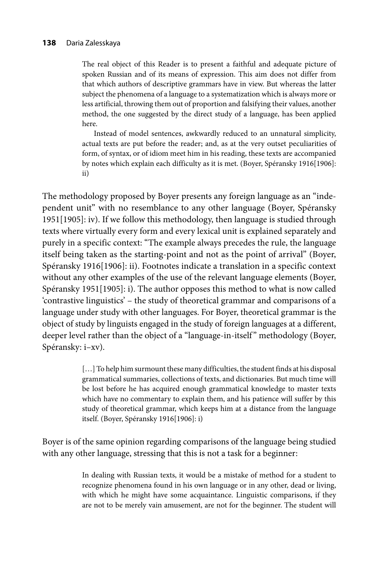The real object of this Reader is to present a faithful and adequate picture of spoken Russian and of its means of expression. This aim does not differ from that which authors of descriptive grammars have in view. But whereas the latter subject the phenomena of a language to a systematization which is always more or less artificial, throwing them out of proportion and falsifying their values, another method, the one suggested by the direct study of a language, has been applied here.

Instead of model sentences, awkwardly reduced to an unnatural simplicity, actual texts are put before the reader; and, as at the very outset peculiarities of form, of syntax, or of idiom meet him in his reading, these texts are accompanied by notes which explain each difficulty as it is met. (Boyer, Spéransky 1916[1906]: ii)

The methodology proposed by Boyer presents any foreign language as an "independent unit" with no resemblance to any other language (Boyer, Spéransky 1951[1905]: iv). If we follow this methodology, then language is studied through texts where virtually every form and every lexical unit is explained separately and purely in a specific context: "The example always precedes the rule, the language itself being taken as the starting-point and not as the point of arrival" (Boyer, Spéransky 1916[1906]: ii). Footnotes indicate a translation in a specific context without any other examples of the use of the relevant language elements (Boyer, Spéransky 1951[1905]: i). The author opposes this method to what is now called 'contrastive linguistics' – the study of theoretical grammar and comparisons of a language under study with other languages. For Boyer, theoretical grammar is the object of study by linguists engaged in the study of foreign languages at a different, deeper level rather than the object of a "language-in-itself" methodology (Boyer, Spéransky: i–xv).

> [...] To help him surmount these many difficulties, the student finds at his disposal grammatical summaries, collections of texts, and dictionaries. But much time will be lost before he has acquired enough grammatical knowledge to master texts which have no commentary to explain them, and his patience will suffer by this study of theoretical grammar, which keeps him at a distance from the language itself. (Boyer, Spéransky 1916[1906]: i)

Boyer is of the same opinion regarding comparisons of the language being studied with any other language, stressing that this is not a task for a beginner:

> In dealing with Russian texts, it would be a mistake of method for a student to recognize phenomena found in his own language or in any other, dead or living, with which he might have some acquaintance. Linguistic comparisons, if they are not to be merely vain amusement, are not for the beginner. The student will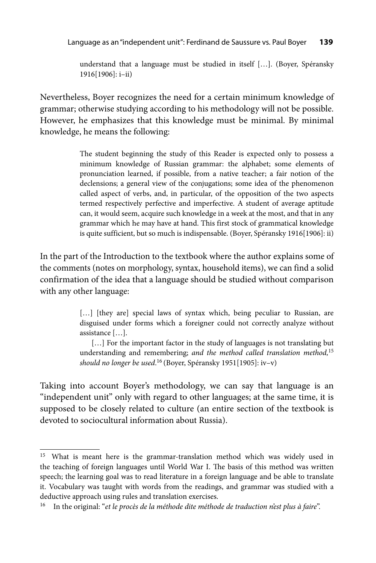understand that a language must be studied in itself […]. (Boyer, Spéransky 1916[1906]: i–ii)

Nevertheless, Boyer recognizes the need for a certain minimum knowledge of grammar; otherwise studying according to his methodology will not be possible. However, he emphasizes that this knowledge must be minimal. By minimal knowledge, he means the following:

> The student beginning the study of this Reader is expected only to possess a minimum knowledge of Russian grammar: the alphabet; some elements of pronunciation learned, if possible, from a native teacher; a fair notion of the declensions; a general view of the conjugations; some idea of the phenomenon called aspect of verbs, and, in particular, of the opposition of the two aspects termed respectively perfective and imperfective. A student of average aptitude can, it would seem, acquire such knowledge in a week at the most, and that in any grammar which he may have at hand. This first stock of grammatical knowledge is quite sufficient, but so much is indispensable. (Boyer, Spéransky 1916[1906]: ii)

In the part of the Introduction to the textbook where the author explains some of the comments (notes on morphology, syntax, household items), we can find a solid confirmation of the idea that a language should be studied without comparison with any other language:

> [...] [they are] special laws of syntax which, being peculiar to Russian, are disguised under forms which a foreigner could not correctly analyze without assistance […].

> [...] For the important factor in the study of languages is not translating but understanding and remembering; *and the method called translation method,*<sup>15</sup> *should no longer be used*. 16 (Boyer, Spéransky 1951[1905]: iv–v)

Taking into account Boyer's methodology, we can say that language is an "independent unit" only with regard to other languages; at the same time, it is supposed to be closely related to culture (an entire section of the textbook is devoted to sociocultural information about Russia).

<sup>&</sup>lt;sup>15</sup> What is meant here is the grammar-translation method which was widely used in the teaching of foreign languages until World War I. The basis of this method was written speech; the learning goal was to read literature in a foreign language and be able to translate it. Vocabulary was taught with words from the readings, and grammar was studied with a deductive approach using rules and translation exercises.

<sup>16</sup> In the original: "*et le procès de la méthode dite méthode de traduction n'est plus à faire*".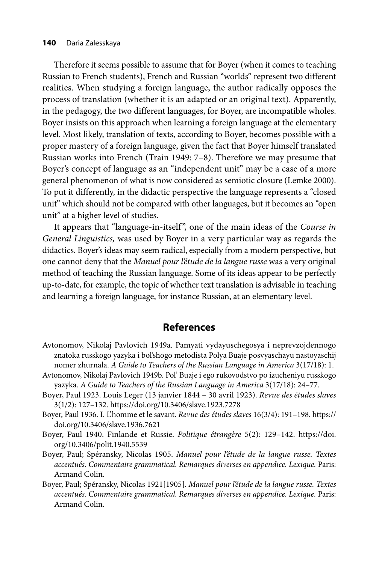#### **140** Daria Zalesskaya

Therefore it seems possible to assume that for Boyer (when it comes to teaching Russian to French students), French and Russian "worlds" represent two different realities. When studying a foreign language, the author radically opposes the process of translation (whether it is an adapted or an original text). Apparently, in the pedagogy, the two different languages, for Boyer, are incompatible wholes. Boyer insists on this approach when learning a foreign language at the elementary level. Most likely, translation of texts, according to Boyer, becomes possible with a proper mastery of a foreign language, given the fact that Boyer himself translated Russian works into French (Train 1949: 7–8). Therefore we may presume that Boyer's concept of language as an "independent unit" may be a case of a more general phenomenon of what is now considered as semiotic closure (Lemke 2000). To put it differently, in the didactic perspective the language represents a "closed unit" which should not be compared with other languages, but it becomes an "open unit" at a higher level of studies.

It appears that "language-in-itself ", one of the main ideas of the *Course in General Linguistics,* was used by Boyer in a very particular way as regards the didactics. Boyer's ideas may seem radical, especially from a modern perspective, but one cannot deny that the *Manuel pour l'étude de la langue russe* was a very original method of teaching the Russian language. Some of its ideas appear to be perfectly up-to-date, for example, the topic of whether text translation is advisable in teaching and learning a foreign language, for instance Russian, at an elementary level.

## **References**

- Avtonomov, Nikolaj Pavlovich 1949a. Pamyati vydayuschegosya i neprevzojdennogo znatoka russkogo yazyka i bol'shogo metodista Polya Buaje posvyaschayu nastoyaschij nomer zhurnala. *A Guide to Teachers of the Russian Language in America* 3(17/18): 1.
- Avtonomov, Nikolaj Pavlovich 1949b. Pol' Buaje i ego rukovodstvo po izucheniyu russkogo yazyka. *A Guide to Teachers of the Russian Language in America* 3(17/18): 24–77.
- Boyer, Paul 1923. Louis Leger (13 janvier 1844 30 avril 1923). *Revue des études slaves* 3(1/2): 127–132. https://doi.org/10.3406/slave.1923.7278
- Boyer, Paul 1936. I. L'homme et le savant. *Revue des études slaves* 16(3/4): 191–198. https:// doi.org/10.3406/slave.1936.7621
- Bo[yer, Paul 1940. Finlande et Russie.](https://doi.org/10.3406/polit.1940.5539) *Politique étrangère* 5(2): 129–142. https://doi. org/10.3406/polit.1940.5539
- Boyer, Paul; Spéransky, Nicolas 1905. *Manuel pour l'étude de la langue russe. Textes accentués. Commentaire grammatical. Remarques diverses en appendice. Lexique.* Paris: Armand Colin.
- Boyer, Paul; Spéransky, Nicolas 1921[1905]. *Manuel pour l'étude de la langue russe. Textes accentués. Commentaire grammatical. Remarques diverses en appendice. Lexique.* Paris: Armand Colin.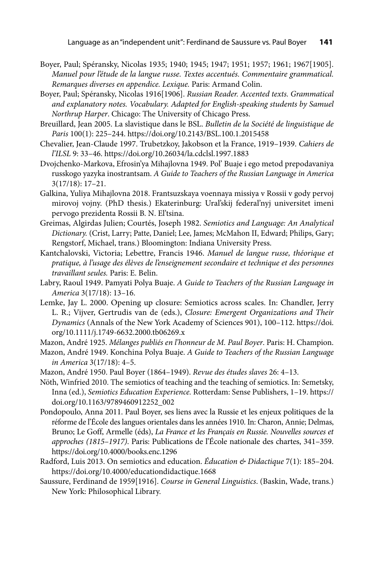- Boyer, Paul; Spéransky, Nicolas 1935; 1940; 1945; 1947; 1951; 1957; 1961; 1967[1905]. *Manuel pour l'étude de la langue russe. Textes accentués. Commentaire grammatical. Remarques diverses en appendice. Lexique.* Paris: Armand Colin.
- Boyer, Paul; Spéransky, Nicolas 1916[1906]. *Russian Reader. Accented texts. Grammatical and explanatory notes. Vocabulary. Adapted for English-speaking students by Samuel Northrup Harper*. Chicago: The University of Chicago Press.
- Breuillard, Jean 2005. La slavistique dans le BSL. *Bulletin de la Société de linguistique de Paris* 100(1): 225–244. https://doi.org/10.2143/BSL.100.1.2015458
- Chevalier, Jean-Claude 1997. Trubetzkoy, Jakobson et la France, 1919–1939. *Cahiers de l'ILSL* 9: 33–46. https://doi.org/10.26034/la.cdclsl.1997.1883
- Dvojchenko-Markova, Efrosin'ya Mihajlovna 1949. Pol' Buaje i ego metod prepodavaniya russkogo yazyka inostrantsam. *A Guide to Teachers of the Russian Language in America* 3(17/18): 17–21.
- Galkina, Yuliya Mihajlovna 2018. Frantsuzskaya voennaya missiya v Rossii v gody pervoj mirovoj vojny. (PhD thesis.) Ekaterinburg: Ural'skij federal'nyj universitet imeni pervogo prezidenta Rossii B. N. El'tsina.
- Greimas, Algirdas Julien; Courtés, Joseph 1982. *Semiotics and Language: An Analytical Dictionary.* (Crist, Larry; Patte, Daniel; Lee, James; McMahon II, Edward; Philips, Gary; Rengstorf, Michael, trans.) Bloomington: Indiana University Press.
- Kantchalovski, Victoria; Lebettre, Francis 1946. *Manuel de langue russe, théorique et pratique, à l'usage des élèves de l'enseignement secondaire et technique et des personnes travaillant seules.* Paris: E. Belin.
- Labry, Raoul 1949. Pamyati Polya Buaje. *A Guide to Teachers of the Russian Language in America* 3(17/18): 13–16.
- Lemke, Jay L. 2000. Opening up closure: Semiotics across scales. In: Chandler, Jerry L. R.; Vijver, Gertrudis van de (eds.), *Closure: Emergent Organizations and Their Dynamics* [\(Annals of the New York Academy of Sciences 901\), 100–112. https://doi.](https://nyaspubs.onlinelibrary.wiley.com/doi/10.1111/j.1749-6632.2000.tb06269.x) org/10.1111/j.1749-6632.2000.tb06269.x

Mazon, André 1925. *Mélanges publiés en l'honneur de M. Paul Boyer*. Paris: H. Champion.

- Mazon, André 1949. Konсhina Polya Buaje. *A Guide to Teachers of the Russian Language in America* 3(17/18): 4–5.
- Mazon, André 1950. Paul Boyer (1864–1949). *Revue des études slaves* 26: 4–13.
- Nöth, Winfried 2010. The semiotics of teaching and the teaching of semiotics. In: Semetsky, Inna (ed.), *Semiotics Education Experience.* Rotterdam: Sense Publishers, 1–19. https:// doi.org/10.1163/9789460912252\_002
- Pondopoulo, Anna 2011. Paul Boyer, ses liens avec la Russie et les enjeux politiques de la réforme de l'École des langues orientales dans les années 1910. In: Charon, Annie; Delmas, Bruno; Le Goff, Armelle (éds), *La France et les Français en Russie. Nouvelles sources et approches (1815–1917)*. Paris: Publications de l'École nationale des chartes, 341–359. https://doi.org/10.4000/books.enc.1296
- Radford, Luis 2013. On semiotics and education. *Éducation & Didactique* 7(1): 185–204. https://doi.org/10.4000/educationdidactique.1668
- Saussure, Ferdinand de 1959[1916]. *Course in General Linguistics*. (Baskin, Wade, trans.) New York: Philosophical Library.